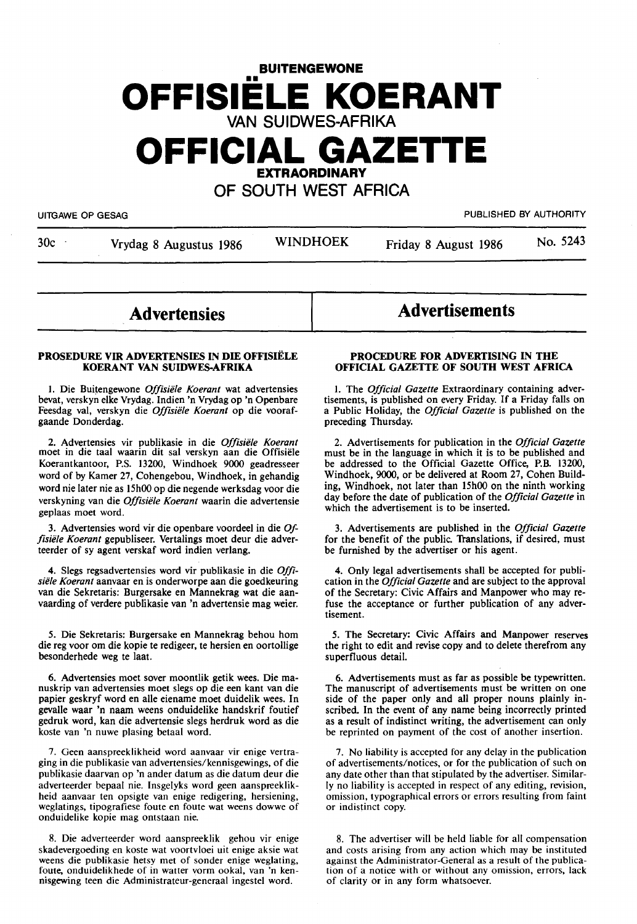# **BUITENGEWONE OFFISIELE KOERANT VAN SUIDWES-AFRIKA OFFICIAL GAZETTE**

**EXTRAORDINARY** 

# **OF SOUTH WEST AFRICA**

UITGAWE OP GESAG PUBLISHED BY AUTHORITY

30c · Vrydag 8 Augustus 1986 · WINDHOEK Friday 8 August 1986 · No. 5243

# **Advertensies**

#### **PROSEDURE VIR ADVERTENSIES IN DIE OFFISIELE KOERANT VAN SUIDWES-AFRIKA**

1. Die Buitengewone Offisiële Koerant wat advertensies bevat, verskyn elke Vrydag. lndien 'n Vrydag op 'n Openbare Feesdag val, verskyn die Offisiële Koerant op die voorafgaande Donderdag.

2. Advertensies vir publikasie in die Offisiële Koerant moet in die taal waarin dit sal verskyn aan die Offisiele Koerantkantoor, P.S. 13200, Windhoek 9000 geadresseer word of by Kamer 27, Cohengebou, Windhoek, in gehandig word nie later nie as 15h00 op die negende werksdag voor die verskyning van die *Offisiële Koerant* waarin die advertensie geplaas moet word.

3. Advertensies word vir die openbare voordeel in die *Of*fisiële Koerant gepubliseer. Vertalings moet deur die adverteerder of sy agent verskaf word indien verlang.

4. Slegs regsadvertensies word vir publikasie in die *Offi*siële Koerant aanvaar en is onderworpe aan die goedkeuring van die Sekretaris: Burgersake en Mannekrag wat die aanvaarding of verdere publikasie van 'n advertensie mag weier.

*5.* Die Sekretaris: Burgersake en Mannekrag behou horn die reg voor om die kopie te redigeer, te hersien en oortollige besonderhede weg te laat.

6. Advertensies moet sover moontlik getik wees. Die ma- nuskrip van advertensies moet slegs op die een kant van die papier geskryf word en alle eiename moet duidelik wees. In gevalle waar 'n naam weens onduidelike handskrif foutief gedruk word, kan die advertensie slegs herdruk word as die koste van 'n nuwe plasing betaal word.

7. Geen aanspreeklikheid word aanvaar vir enige vertra**ging** in die publikasie van advertensies/kennisgewings, of die publikasie daarvan op 'n ander datum as die datum deur die adverteerder bepaal nie. Insgelyks word geen aanspreeklikheid aanvaar ten opsigte van enige redigering, hersiening, weglatings, tipografiese foute en foute wat weens dowwe of onduidelike kopie mag ontstaan nie.

8. Die adverteerder word aanspreeklik gehou vir enige skadevergoeding en koste wat voortvloei uit enige aksie wat weens die publikasie hetsy met of sonder enige weglating, foute, onduidelikhede of in watter vorm ookal, van 'n ken**nisgewing** teen die Administrateur-generaal ingestel word.

# **PROCEDURE FOR ADVERTISING IN THE**

**Advertisements** 

I. The *Official Gazette* Extraordinary containing advertisements, is published on every Friday. If a Friday falls on a Public Holiday, the *Official Gazette* is published on the preceding Thursday.

**OFFICIAL GAZETTE OF SOUTH WEST AFRICA** 

2. Advertisements for publication in the *Official Gazette*  must be in the language in which it is to be published and be addressed to the Official Gazette Office, P.B. 13200, Windhoek, 9000, or be delivered at Room 27, Cohen Building, Windhoek, not later than 15h00 on the ninth working day before the date of publication of the *Official Gazette* in which the advertisement is to be inserted.

3. Advertisements are published in the *Official Gazette*  for the benefit of the public. Translations, if desired, must be furnished by the advertiser or his agent.

4. Only legal advertisements shall be accepted for publication in the *Official Gazette* and are subject to the approval of the Secretary: Civic Affairs and Manpower who may refuse the acceptance or further publication of any advertisement.

*5.* The Secretary: Civic Affairs and Manpower reserves the right to edit and revise copy and to delete therefrom any superfluous detail.

6. Advertisements must as far as possible be typewritten. side of the paper only and all proper nouns plainly inscribed. In the event of any name being incorrectly printed as a result of indistinct writing, the advertisement can only be reprinted on payment of the cost of another insertion.

7. No liability is accepted for any delay in the publication of advertisements/notices, or for the publication of such on any date other than that stipulated by the advertiser. Similarly no liability is accepted in respect of any editing, revision, omission, typographical errors or errors resulting from faint or indistinct copy.

8. The advertiser will be held liable for all compensation and costs arising from any action which may be instituted against the Administrator-General as a result of the publication of a notice with or without any omission, errors, lack of clarity or in any form whatsoever.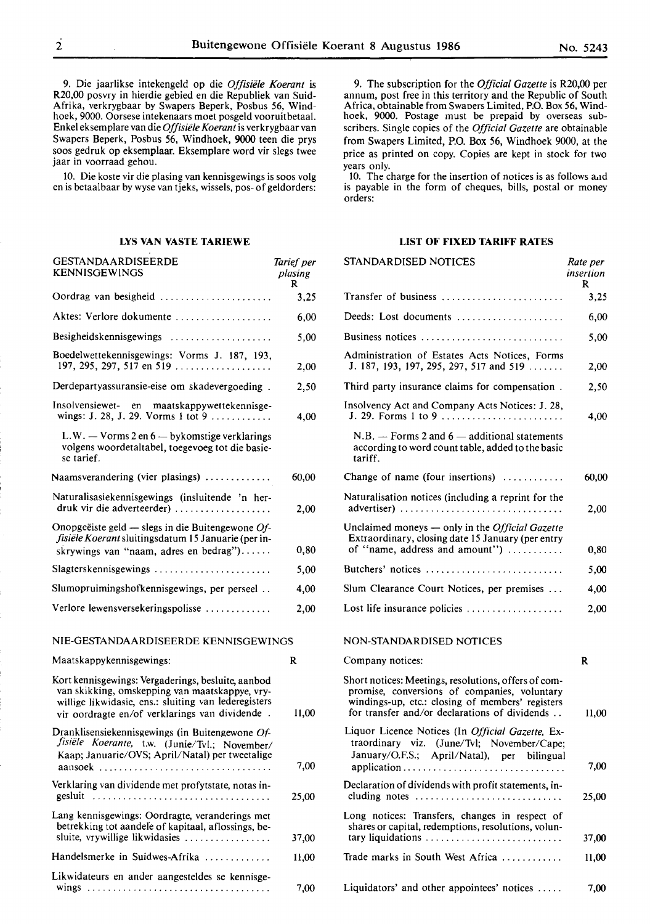9. Die jaarlikse intekengeld op die *Offisiele Koerant* is R20,00 posvry in hierdie gebied en die Republiek van Suid-Afrika, verkrygbaar by Swapers Beperk, Posbus 56, Windhoek, 9000. Oorsese intekenaars moet posgeld vooruitbetaal. Enkel eksemplare van die *Offisiele Koerant* is verkrygbaar van Swapers Beperk, Posbus 56, Windhoek, 9000 teen die prys soos gedruk op eksemplaar. Eksemplare word vir slegs twee jaar in voorraad gehou.

10. Die koste vir die plasing van kennisgewings is soos volg en is betaalbaar by wyse van tjeks, wissels, pos- of geldorders:

# **LYS VAN VASTE TARIEWE**

| GESTANDAARDISEERDE<br><b>KENNISGEWINGS</b>                                                                                                                                                                     | Tarief per<br>plasing<br>R |
|----------------------------------------------------------------------------------------------------------------------------------------------------------------------------------------------------------------|----------------------------|
| Oordrag van besigheid                                                                                                                                                                                          | 3,25                       |
| Aktes: Verlore dokumente                                                                                                                                                                                       | 6,00                       |
| Besigheidskennisgewings                                                                                                                                                                                        | 5,00                       |
| Boedelwettekennisgewings: Vorms J. 187, 193,<br>197, 295, 297, 517 en 519                                                                                                                                      | 2,00                       |
| Derdepartyassuransie-eise om skadevergoeding.                                                                                                                                                                  | 2,50                       |
| Insolvensiewet- en maatskappywettekennisge-<br>wings: J. 28, J. 29. Vorms 1 tot 9                                                                                                                              | 4,00                       |
| L.W. — Vorms 2 en 6 — bykomstige verklarings<br>volgens woordetaltabel, toegevoeg tot die basie-<br>se tarief.                                                                                                 |                            |
| Naamsverandering (vier plasings)                                                                                                                                                                               | 60,00                      |
| Naturalisasiekennisgewings (insluitende 'n her-<br>druk vir die adverteerder)                                                                                                                                  | 2,00                       |
| Onopgeëiste geld — slegs in die Buitengewone Of-<br>fisiële Koerant sluitingsdatum 15 Januarie (per in-<br>skrywings van "naam, adres en bedrag")                                                              | 0,80                       |
| Slagterskennisgewings                                                                                                                                                                                          | 5,00                       |
| Slumopruimingshofkennisgewings, per perseel                                                                                                                                                                    | 4,00                       |
| Verlore lewensversekeringspolisse                                                                                                                                                                              | 2,00                       |
| NIE-GESTANDAARDISEERDE KENNISGEWINGS                                                                                                                                                                           |                            |
| Maatskappykennisgewings:                                                                                                                                                                                       | R                          |
| Kort kennisgewings: Vergaderings, besluite, aanbod<br>van skikking, omskepping van maatskappye, vry-<br>willige likwidasie, ens.: sluiting van lederegisters<br>vir oordragte en/of verklarings van dividende. | 11,00                      |
| Dranklisensiekennisgewings (in Buitengewone Of-<br>fisiële Koerante, t.w. (Junie/Tvl.; November/<br>Kaap; Januarie/OVS; April/Natal) per tweetalige                                                            | 7,00                       |
| Verklaring van dividende met profytstate, notas in-<br>gesluit                                                                                                                                                 | 25,00                      |
| Lang kennisgewings: Oordragte, veranderings met<br>betrekking tot aandele of kapitaal, aflossings, be-<br>sluite, vrywillige likwidasies                                                                       | 37,00                      |
| Handelsmerke in Suidwes-Afrika                                                                                                                                                                                 | 11,00                      |
| Likwidateurs en ander aangesteldes se kennisge-                                                                                                                                                                |                            |
|                                                                                                                                                                                                                | 7,00                       |

9. The subscription for the *Official Gazette* is R20,00 per annum, post free in this territory and the Republic of South Africa, obtainable from Swaoers Limited, P.O. Box 56, Windhoek, 9000. Postage must be prepaid by overseas subscribers. Single copies of the *Official Gazette* are obtainable from Swapers Limited, P.O. Box 56, Windhoek 9000, at the price as printed on copy. Copies are kept in stock for two years only.

10. The charge for the insertion of notices is as follows a,1d is payable in the form of cheques, bills, postal or money orders:

#### **LIST OF FIXED TARIFF RATES**

standardisel in the second second second second second second second second second second second second second

| STANDARDISED NOTICES                                                                                                                                                                                      | Rate per<br>insertion<br>R |
|-----------------------------------------------------------------------------------------------------------------------------------------------------------------------------------------------------------|----------------------------|
|                                                                                                                                                                                                           | 3,25                       |
| Deeds: Lost documents $\dots\dots\dots\dots\dots\dots\dots$                                                                                                                                               | 6,00                       |
| Business notices                                                                                                                                                                                          | 5.00                       |
| Administration of Estates Acts Notices, Forms<br>J. 187, 193, 197, 295, 297, 517 and 519                                                                                                                  | 2,00                       |
| Third party insurance claims for compensation.                                                                                                                                                            | 2,50                       |
| Insolvency Act and Company Acts Notices: J. 28,<br>J. 29. Forms 1 to 9                                                                                                                                    | 4,00                       |
| $N.B. -$ Forms 2 and $6 -$ additional statements<br>according to word count table, added to the basic<br>tariff.                                                                                          |                            |
| Change of name (four insertions)                                                                                                                                                                          | 60,00                      |
| Naturalisation notices (including a reprint for the<br>advertiser)                                                                                                                                        | 2,00                       |
| Unclaimed moneys — only in the <i>Official Gazette</i><br>Extraordinary, closing date 15 January (per entry<br>of "name, address and amount")                                                             | 0,80                       |
| Butchers' notices                                                                                                                                                                                         | 5.00                       |
| Slum Clearance Court Notices, per premises                                                                                                                                                                | 4,00                       |
| Lost life insurance policies $\ldots \ldots \ldots \ldots \ldots$                                                                                                                                         | 2,00                       |
| NON-STANDARDISED NOTICES                                                                                                                                                                                  |                            |
| Company notices:                                                                                                                                                                                          | R                          |
| Short notices: Meetings, resolutions, offers of com-<br>promise, conversions of companies, voluntary<br>windings-up, etc.: closing of members' registers<br>for transfer and/or declarations of dividends | 11,00                      |
| Liquor Licence Notices (In Official Gazette, Ex-<br>traordinary viz. (June/Tvl; November/Cape;<br>January/O.F.S.; April/Natal), per bilingual                                                             | 7,00                       |
| Declaration of dividends with profit statements, in-<br>cluding notes                                                                                                                                     | 25,00                      |
| Long notices: Transfers, changes in respect of<br>shares or capital, redemptions, resolutions, volun-<br>tary liquidations                                                                                | 37,00                      |
| Trade marks in South West Africa                                                                                                                                                                          | 11.00                      |
|                                                                                                                                                                                                           |                            |
| Liquidators' and other appointees' notices                                                                                                                                                                | 7,00                       |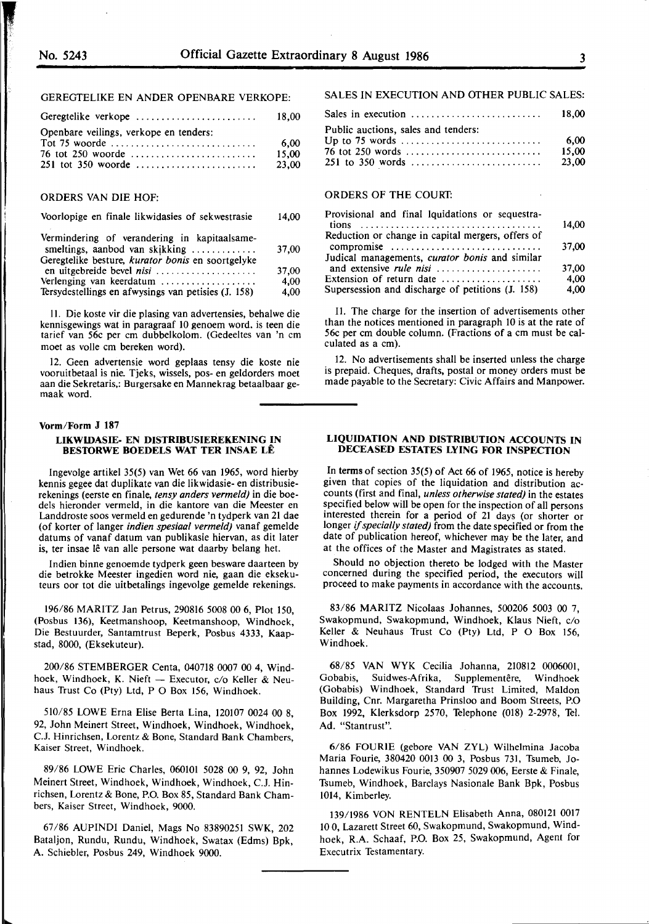#### GEREGTELIKE EN ANDER OPENBARE VERKOPE:

| Geregtelike verkope                    | 18.00 |
|----------------------------------------|-------|
| Openbare veilings, verkope en tenders: |       |
|                                        | 6.00  |
|                                        | 15.00 |
|                                        | 23.00 |
|                                        |       |

#### ORDERS VAN DIE HOF:

# Voorlopige en finale likwidasies of sekwestrasie 14,00

| Vermindering of verandering in kapitaalsame-        |       |
|-----------------------------------------------------|-------|
| smeltings, aanbod van skikking                      | 37,00 |
| Geregtelike besture, kurator bonis en soortgelyke   |       |
|                                                     | 37.00 |
| Verlenging van keerdatum                            | 4.00  |
| Tersydestellings en afwysings van petisies (J. 158) | 4,00  |

11. Die koste vir die plasing van advertensies, behalwe die kennisgewings wat in paragraaf 10 genoem word. is teen die tarief van 56c per cm dubbelkolom. (Gedeeltes van 'n cm moet as voile cm bereken word).

12. Geen advertensie word geplaas tensy die koste nie vooruitbetaal is nie. Tjeks, wissels, pos- en geldorders moet aan die Sekretaris,: Burgersake en Mannekrag betaalbaar gemaak word.

#### **Vorm/Form J 187**

#### **LIKWIDASIE- EN DISTRIBUSIEREKENING IN BES10RWE BOEDELS WAT TER INSAE LE**

Ingevolge artikel 35(5) van Wet 66 van 1965, word hierby kennis gegee dat duplikate van die likwidasie- en distribusierekenings (eerste en finale, *tensy anders vermeld)* in die boedels hieronder vermeld, in die kantore van die Meester en Landdroste soos vermeld en gedurende 'n tydperk van 21 dae (of korter of !anger *indien spesiaal vermeld)* vanaf gemelde datums of vanaf datum van publikasie hiervan, as dit later is, ter insae lê van alle persone wat daarby belang het.

Indien binne genoemde tydperk geen besware daarteen by die betrokke Meester ingedien word nie, gaan die eksekuteurs oor tot die uitbetalings ingevolge gemelde rekenings.

196/86 MARITZ Jan Petrus, 290816 5008 00 6, Plot 150, (Posbus 136), Keetmanshoop, Keetmanshoop, Windhoek, Die Bestuurder, Santamtrust Beperk, Posbus 4333, Kaapstad, 8000, (Eksekuteur).

200/86 STEMBERGER Centa, 040718 0007 00 4, Windhoek, Windhoek, K. Nieft - Executor, c/o Keller & Neuhaus Trust Co (Pty) Ltd, P O Box 156, Windhoek.

510/85 LOWE Erna Elise Berta Lina, 120107 0024 00 8, 92, John Meinert Street, Windhoek, Windhoek, Windhoek, C.J. Hinrichsen, Lorentz & Bone, Standard Bank Chambers, Kaiser Street, Windhoek.

89/86 LOWE Eric Charles, 060101 5028 00 9, 92, John Meinert Street, Windhoek, Windhoek, Windhoek, C.J. Hinrichsen, Lorentz & Bone, P.O. Box 85, Standard Bank Chambers, Kaiser Street, Windhoek, 9000.

67/86 AUPINDI Daniel, Mags No 83890251 SWK, 202 Bataljon, Rundu, Rundu, Windhoek, Swatax (Edms) Bpk, A. Schiebler, Posbus 249, Windhoek 9000.

#### SALES IN EXECUTION AND OTHER PUBLIC SALES:

|                                                                             | 18.00                    |
|-----------------------------------------------------------------------------|--------------------------|
| Public auctions, sales and tenders:<br>76 tot 250 words<br>251 to 350 words | - 6.00<br>15.00<br>23.00 |

# ORDERS OF THE COURT:

| Provisional and final lquidations or sequestra-   |       |
|---------------------------------------------------|-------|
|                                                   | 14.00 |
| Reduction or change in capital mergers, offers of |       |
| compromise                                        | 37.00 |
| Judical managements, curator bonis and similar    |       |
| and extensive <i>rule nisi</i>                    | 37.00 |
| Extension of return date                          | 4.00  |
| Supersession and discharge of petitions (J. 158)  | 4,00  |

IL The charge for the insertion of advertisements other than the notices mentioned in paragraph 10 is at the rate of 56c per cm double column. (Fractions of a cm must be calculated as a cm).

12. No advertisements shall be inserted unless the charge is prepaid. Cheques, drafts, postal or money orders must be made payable to the Secretary: Civic Affairs and Manpower.

# **LIQUIDATION AND DISTRIBUTION ACCOUNTS IN DECEASED ESTATES LYING FOR INSPECTION**

In terms of section  $35(5)$  of Act 66 of 1965, notice is hereby given that copies of the liquidation and distribution accounts (first and final, *unless otherwise stated)* in the estates specified below will be open for the inspection of all persons interested therein for a period of 21 days (or shorter or longer if *specially stated)* from the date specified or from the date of publication hereof, whichever may be the later, and at the offices of the Master and Magistrates as stated.

Should no objection thereto be lodged with the Master concerned during the specified period, the executors **will**  proceed to make payments in accordance with the accounts.

83/86 **MARITZ** Nicolaas Johannes, 500206 5003 00 7, Swakopmund, Swakopmund, Windhoek, Klaus Nieft, c/o Keller & Neuhaus Trust Co (Pty) Ltd, P O Box 156, Windhoek.

68/85 **VAN WYK** Cecilia Johanna, 210812 0006001, Gobabis, Suidwes-Afrika, Supplementêre, Windhoek (Gobabis) Windhoek, Standard Trust Limited, Maldon Building, Cnr. Margaretha Prinsloo and Boom Streets, P.O Box 1992, Klerksdorp 2570, Telephone (018) 2-2978, Tel. **Ad.** "Stantrust".

6/86 FOURIE (gebore VAN ZYL) Wilhelmina Jacoba Maria Fourie, 380420 0013 00 3, Posbus 731, Tsumeb, Johannes Lodewikus Fourie, 350907 5029 006, Eerste & Finale, Tsumeb, Windhoek, Barclays Nasionale Bank Bpk, Posbus 1014, Kimberley.

139/1986 VON RENTELN Elisabeth Anna, 080121 0017 10 O, Lazarett Street 60, Swakopmund, Swakopmund, Windhoek, R.A. Schaaf, P.O. Box 25, Swakopmund, Agent for Executrix Testamentary.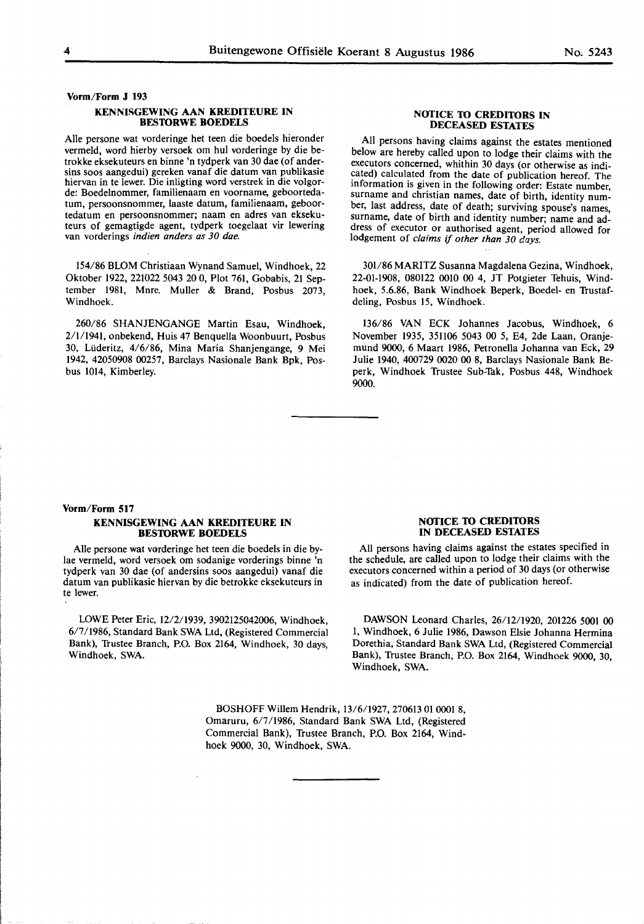**Vorm/Form J 193** 

#### **KENNISGEWING AAN KREDITEURE IN BES10RWE BOEDELS**

Alie persone wat vorderinge het teen die boedels hieronder vermeld, word hierby versoek om hul vorderinge by die betrokke eksekuteurs en binne 'n tydperk van 30 dae (of andersins soos aangedui) gereken vanaf die datum van publikasie hiervan in te lewer. Die inligting word verstrek in die volgorde: Boedelnommer, familienaam en voorname, geboortedatum, persoonsnommer, laaste datum, familienaam, geboortedatum en persoonsnommer; naam en adres van eksekuteurs of gemagtigde agent, tydperk toegelaat vir Iewering van vorderings indien anders as 30 dae.

154/86 BLOM Christiaan Wynand Samuel, Windhoek, 22 Oktober 1922, 221022 5043 20 0, Plot 761, Gobabis, 21 September 1981, Mnre. Muller & Brand, Posbus 2073, Windhoek.

260/86 SHANJENGANGE Martin Esau, Windhoek, 2/1/1941, onbekend, Huis 47 Benquella Woonbuurt, Posbus 30, Liideritz, 4/6/86, Mina Maria Shanjengange, 9 Mei 1942, 42050908 00257, Barclays Nasionale Bank Bpk, Posbus 1014, Kimberley.

#### **NOTICE TO CREDITORS IN DECEASED ESTATES**

All persons having claims against the estates mentioned below are hereby called upon to lodge their claims with the executors concerned, whithin 30 days (or otherwise as indicated) calculated from the date of publication hereof. The information is given in the following order: Estate number, surname and christian names, date of birth, identity number, last address, date of death; surviving spouse's names, surname, date of birth and identity number; name and address of executor or authorised agent, period allowed for lodgement of claims if other than 30 days.

301/86 MARITZ Susanna Magdalena Gezina, Windhoek, 22-01-1908, 080122 0010 00 4, JT Potgieter Tehuis, Windhoek, 5.6.86, Bank Windhoek Beperk, Boedel- en Trustafdeling, Posbus 15, Windhoek.

136/86 VAN ECK Johannes Jacobus, Windhoek, 6 November 1935, 351106 5043 00 5, E4, 2de Laan, Oranjemund 9000, 6 Maart 1986, Petronella Johanna van Eck, 29 Julie 1940, 400729 0020 00 8, Barclays Nasionale Bank Beperk, Windhoek Trustee Sub-Tak, Posbus 448, Windhoek 9000.

#### **Vorm/Form 517**

# **KENNISGEWING AAN KREDITEURE IN BES10RWE BOEDELS**

Alie persone wat vorderinge het teen die boedels in die bylae vermeld, word versoek om sodanige vorderings binne 'n tydperk van 30 dae (of andersins soos aangedui) vanaf die datum van publikasie hiervan by die betrokke eksekuteurs in te lewer.

LOWE Peter Eric, 12/2/1939, 3902125042006, Windhoek, 6/7/1986, Standard Bank SWA Ltd, (Registered Commercial Bank), Trustee Branch, P.O. Box 2164, Windhoek, 30 days, Windhoek, SWA.

#### **NOTICE TO CREDITORS IN DECEASED ESTATES**

All persons having claims against the estates specified in the schedule, are called upon to lodge their claims with the executors concerned within a period of 30 days (or otherwise as indicated) from the date of publication hereof.

DAWSON Leonard Charles, 26/12/1920, 201226 5001 00 1, Windhoek, 6 Julie 1986, Dawson Elsie Johanna Hermina Dorethia, Standard Bank SWA Ltd, (Registered Commercial Bank), Trustee Branch, P.O. Box 2164, Windhoek 9000, 30, Windhoek, SWA.

BOSHOFF Willem Hendrik, 13/6/1927, 270613 01 0001 8, Omaruru, 6/7/1986, Standard Bank SWA Ltd, (Registered Commercial Bank), Trustee Branch, P.O. Box 2164, Windhoek 9000, 30, Windhoek, SWA.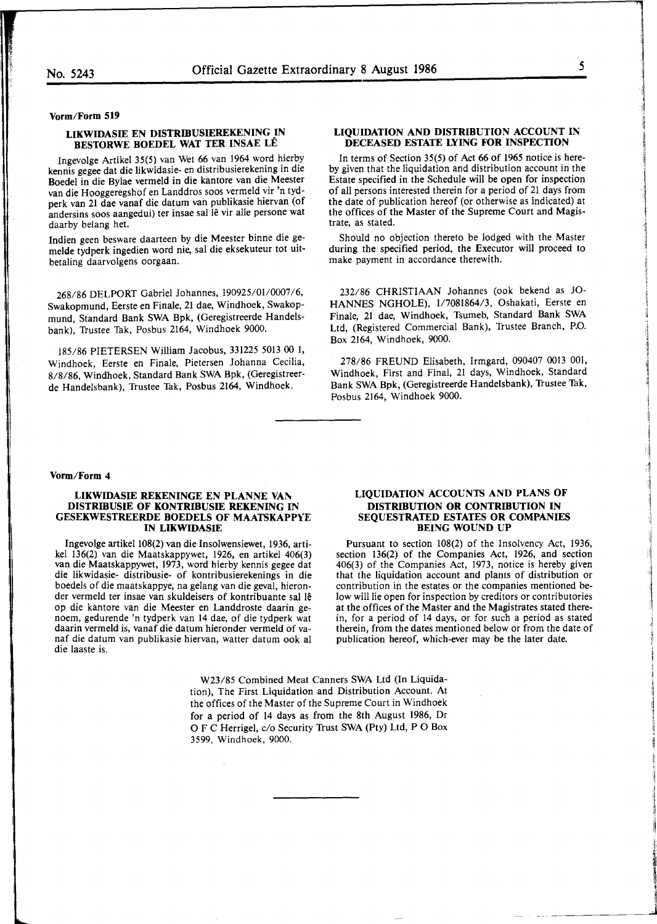**Vorm/Form 519** 

## **LIKWIDASIE EN DISTRIBUSIEREKENING IN BESTORWE BOEDEL WAT TER INSAE LE**

Ingevolge Artikel 35(5) van Wet 66 van 1964 word hierby kennis gegee dat die likwidasie- en distribusierekening in die Boedel in die Bylae vermeld in die kantore van die Meester van die Hooggeregshof en Landdros soos vermeld vir 'n tydperk van 21 dae vanaf die datum van publikasie hiervan (of andersins soos aangedui) ter insae sal lê vir alle persone wat daarby belang het.

Indien geen besware daarteen by die Meester binne die gemelde tydperk ingedien word nie, sal die eksekuteur tot uitbetaling daarvolgens oorgaan.

268/86 DELPORT Gabriel Johannes, 190925/01/0007/6, Swakopmund, Eerste en Finale, 21 dae, Windhoek, Swakopmund, Standard Bank SWA Bpk, (Geregistreerde Handelsbank), Trustee Tak, Posbus 2164, Windhoek 9000.

185/86 PIETERSEN William Jacobus, 331225 5013 00 1, Windhoek, Eerste en Finale, Pietersen Johanna Cecilia, 8/8/86, Windhoek, Standard Bank SWA Bpk, (Geregistreerde Handelsbank), Trustee Tak, Posbus 2164, Windhoek.

## **LIQUIDATION AND DISTRIBUTION ACCOUNT IN DECEASED ESTATE LYING FOR INSPECTION**

In terms of Section 35(5) of Act 66 of 1965 notice is hereby given that the liquidation and distribution account in the Estate specified in the Schedule will be open for inspection of all persons interested therein for a period of 21 days from the date of publication hereof (or otherwise as indicated) at the offices of the Master of the Supreme Court and Magistrate, as stated.

Should no objection thereto be lodged with the Master during the specified period, the Executor will proceed to make payment in accordance therewith.

232/86 CHRISTIAAN Johannes (ook bekend as JO-HANNES NGHOLE), 1/7081864/3, Oshakati, Eerste en Finale, 21 dae, Windhoek, Tsumeb, Standard Bank SWA Ltd, (Registered Commercial Bank), Trustee Branch, P.O. Box 2164, Windhoek, 9000.

278/86 FREUND Elisabeth, Irmgard, 090407 0013 001, Windhoek, First and Final, 21 days, Windhoek, Standard Bank SWA Bpk, (Geregistreerde Handelsbank), Trustee Tok, Posbus 2164, Windhoek 9000.

#### **Vorm/Form 4**

#### **LIKWIDASIE REKENINGE EN PLANNE VAN DISTRIBUSIE OF KONTRIBUSIE REKENING IN GESEKWESTREERDE BOEDELS OF MAATSKAPPYE IN LIKWIDASIE**

Ingevolge artikel 108(2) van die Insolwensiewet, 1936, artikel 136(2) van die Maatskappywet, 1926, en artikel 406(3) van die Maatskappywet, 1973, word hierby kennis gegee dat die likwidasie- distribusie- of kontribusierekenings in die boedels of die maatskappye; na gelang van die geval, hieronder vermeld ter insae van skuldeisers of kontribuante sal le op die kantore van die Meester en Landdroste daarin genoem, gedurende 'n tydperk van 14 dae, of die tydperk wat daarin vermeld is, vanaf die datum hieronder vermeld of vanaf die datum van publikasie hiervan, watter datum ook al die laaste is.

#### **LIQUIDATION ACCOUNTS AND PLANS OF DISTRIBUTION OR CONTRIBUTION IN SEQUESTRATED ESTATES OR COMPANIES BEING WOUND UP**

Pursuant to section 108(2) of the Insolvency Act, 1936, section 136(2) of the Companies Act, 1926, and section 406(3) of the Companies Act, 1973, notice is hereby given that the liquidation account and plants of distribution or contribution in the estates or the companies mentioned below will lie open for inspection by creditors or contributories at the offices of the Master and the Magistrates stated therein, for a period of 14 days, or for such a period as stated therein, from the dates mentioned below or from the date of publication hereof, which-ever may be the later date.

W23/85 Combined Meat Canners SWA Ltd (In Liquidation), The First Liquidation and Distribution Account. At the offices of the Master of the Supreme Court in Windhoek for a period of 14 days as from the 8th August 1986, Dr 0 F C Herrigel, c/o Security Trust SWA (Pty) Ltd, P O Box 3599, Windhoek, 9000.